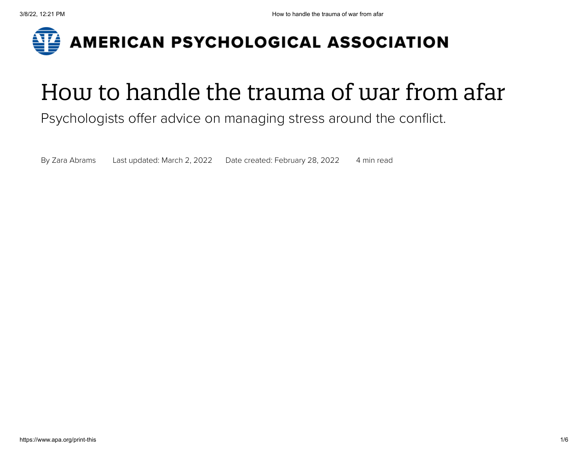

# How to handle the trauma of war from afar

#### Psychologists offer advice on managing stress around the conflict.

By Zara [Abrams](https://www.apa.org/search?query=&fq=ContributorFilt:%22Abrams,%20Zara%22&sort=ContentDateSort%20desc) Last updated: March 2, 2022 Date created: February 28, 2022 4 min read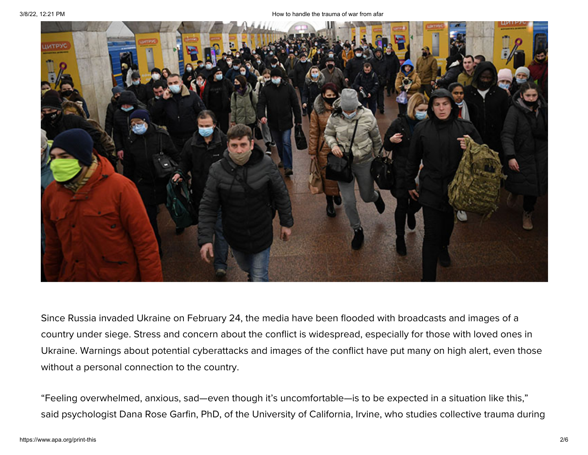

Since Russia invaded Ukraine on February 24, the media have been flooded with broadcasts and images of a country under siege. Stress and concern about the conflict is widespread, especially for those with loved ones in Ukraine. Warnings about potential cyberattacks and images of the conflict have put many on high alert, even those without a personal connection to the country.

"Feeling overwhelmed, anxious, sad—even though it's uncomfortable—is to be expected in a situation like this," said psychologist Dana Rose Garfin, PhD, of the University of California, Irvine, who studies collective trauma during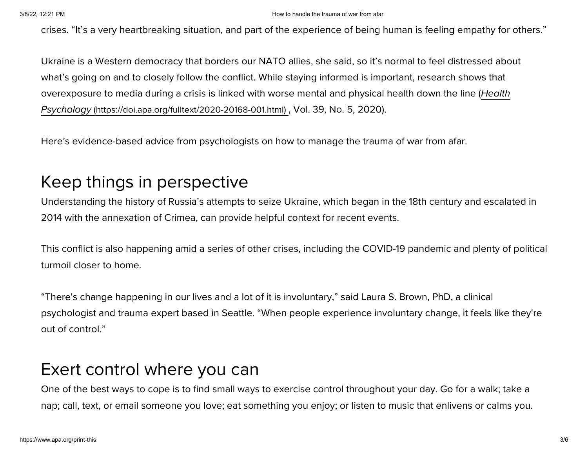#### 3/8/22, 12:21 PM How to handle the trauma of war from afar

crises. "It's a very heartbreaking situation, and part of the experience of being human is feeling empathy for others."

Ukraine is a Western democracy that borders our NATO allies, she said, so it's normal to feel distressed about what's going on and to closely follow the conflict. While staying informed is important, research shows that overexposure to media during a crisis is linked with worse mental and physical health down the line (Health Psychology [\(https://doi.apa.org/fulltext/2020-20168-001.html\)](https://doi.apa.org/fulltext/2020-20168-001.html) , Vol. 39, No. 5, 2020).

Here's evidence-based advice from psychologists on how to manage the trauma of war from afar.

#### Keep things in perspective

Understanding the history of Russia's attempts to seize Ukraine, which began in the 18th century and escalated in 2014 with the annexation of Crimea, can provide helpful context for recent events.

This conflict is also happening amid a series of other crises, including the COVID-19 pandemic and plenty of political turmoil closer to home.

"There's change happening in our lives and a lot of it is involuntary," said Laura S. Brown, PhD, a clinical psychologist and trauma expert based in Seattle. "When people experience involuntary change, it feels like they're out of control."

### Exert control where you can

One of the best ways to cope is to find small ways to exercise control throughout your day. Go for a walk; take a nap; call, text, or email someone you love; eat something you enjoy; or listen to music that enlivens or calms you.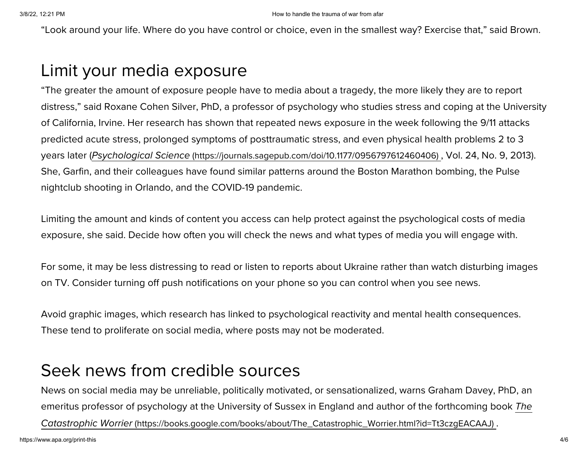"Look around your life. Where do you have control or choice, even in the smallest way? Exercise that," said Brown.

#### Limit your media exposure

"The greater the amount of exposure people have to media about a tragedy, the more likely they are to report distress," said Roxane Cohen Silver, PhD, a professor of psychology who studies stress and coping at the University of California, Irvine. Her research has shown that repeated news exposure in the week following the 9/11 attacks predicted acute stress, prolonged symptoms of posttraumatic stress, and even physical health problems 2 to 3 years later (Psychological Science [\(https://journals.sagepub.com/doi/10.1177/0956797612460406\)](https://journals.sagepub.com/doi/10.1177/0956797612460406) , Vol. 24, No. 9, 2013). She, Garfin, and their colleagues have found similar patterns around the Boston Marathon bombing, the Pulse nightclub shooting in Orlando, and the COVID-19 pandemic.

Limiting the amount and kinds of content you access can help protect against the psychological costs of media exposure, she said. Decide how often you will check the news and what types of media you will engage with.

For some, it may be less distressing to read or listen to reports about Ukraine rather than watch disturbing images on TV. Consider turning off push notifications on your phone so you can control when you see news.

Avoid graphic images, which research has linked to psychological reactivity and mental health consequences. These tend to proliferate on social media, where posts may not be moderated.

#### Seek news from credible sources

News on social media may be unreliable, politically motivated, or sensationalized, warns Graham Davey, PhD, an emeritus professor of psychology at the University of Sussex in England and author of the forthcoming book The Catastrophic Worrier [\(https://books.google.com/books/about/The\\_Catastrophic\\_Worrier.html?id=Tt3czgEACAAJ\)](https://books.google.com/books/about/The_Catastrophic_Worrier.html?id=Tt3czgEACAAJ) .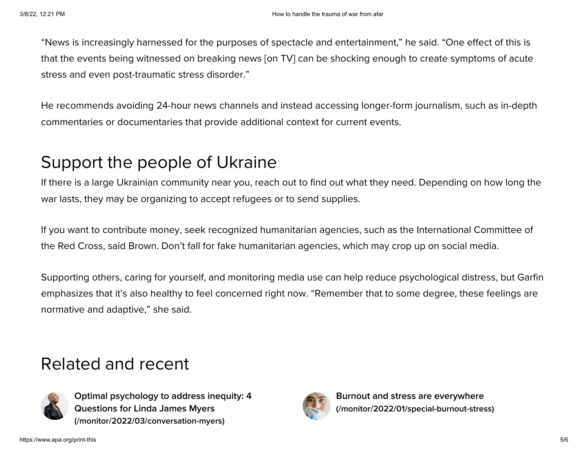"News is increasingly harnessed for the purposes of spectacle and entertainment," he said. "One effect of this is that the events being witnessed on breaking news [on TV] can be shocking enough to create symptoms of acute stress and even post-traumatic stress disorder."

He recommends avoiding 24-hour news channels and instead accessing longer-form journalism, such as in-depth commentaries or documentaries that provide additional context for current events.

## Support the people of Ukraine

If there is a large Ukrainian community near you, reach out to find out what they need. Depending on how long the war lasts, they may be organizing to accept refugees or to send supplies.

If you want to contribute money, seek recognized humanitarian agencies, such as the International Committee of the Red Cross, said Brown. Don't fall for fake humanitarian agencies, which may crop up on social media.

Supporting others, caring for yourself, and monitoring media use can help reduce psychological distress, but Garfin emphasizes that it's also healthy to feel concerned right now. "Remember that to some degree, these feelings are normative and adaptive," she said.

### Related and recent



**Optimal psychology to address inequity: 4 Questions for Linda James Myers [\(/monitor/2022/03/conversation-myers\)](https://www.apa.org/monitor/2022/03/conversation-myers)**



**Burnout and stress are everywhere [\(/monitor/2022/01/special-burnout-stress\)](https://www.apa.org/monitor/2022/01/special-burnout-stress)**